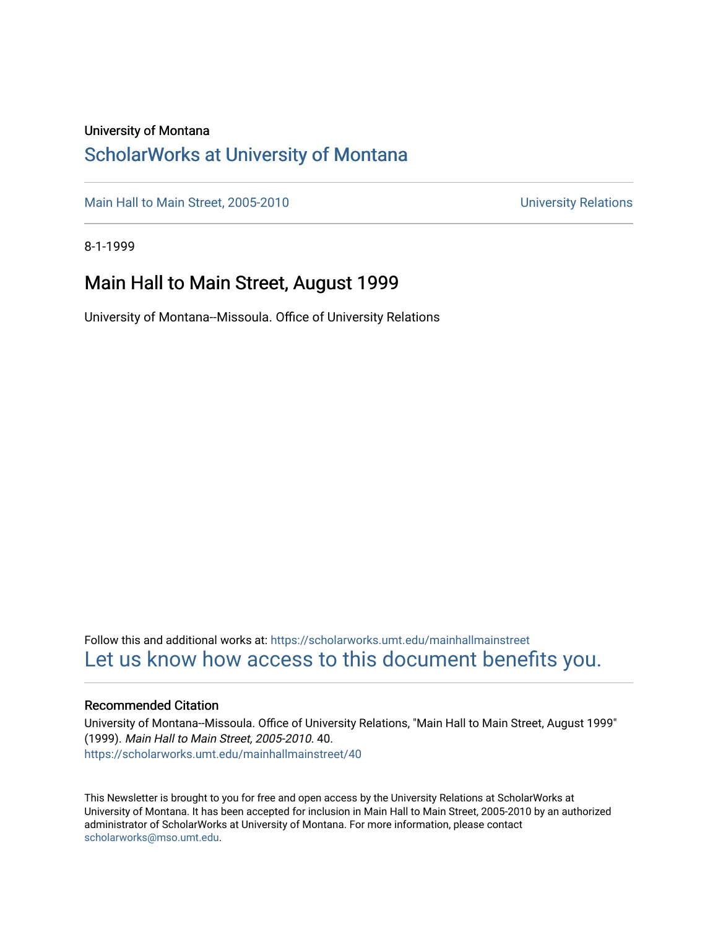### University of Montana

### [ScholarWorks at University of Montana](https://scholarworks.umt.edu/)

[Main Hall to Main Street, 2005-2010](https://scholarworks.umt.edu/mainhallmainstreet) Main Hall to Main Street, 2005-2010

8-1-1999

### Main Hall to Main Street, August 1999

University of Montana--Missoula. Office of University Relations

Follow this and additional works at: [https://scholarworks.umt.edu/mainhallmainstreet](https://scholarworks.umt.edu/mainhallmainstreet?utm_source=scholarworks.umt.edu%2Fmainhallmainstreet%2F40&utm_medium=PDF&utm_campaign=PDFCoverPages) [Let us know how access to this document benefits you.](https://goo.gl/forms/s2rGfXOLzz71qgsB2) 

#### Recommended Citation

University of Montana--Missoula. Office of University Relations, "Main Hall to Main Street, August 1999" (1999). Main Hall to Main Street, 2005-2010. 40. [https://scholarworks.umt.edu/mainhallmainstreet/40](https://scholarworks.umt.edu/mainhallmainstreet/40?utm_source=scholarworks.umt.edu%2Fmainhallmainstreet%2F40&utm_medium=PDF&utm_campaign=PDFCoverPages) 

This Newsletter is brought to you for free and open access by the University Relations at ScholarWorks at University of Montana. It has been accepted for inclusion in Main Hall to Main Street, 2005-2010 by an authorized administrator of ScholarWorks at University of Montana. For more information, please contact [scholarworks@mso.umt.edu.](mailto:scholarworks@mso.umt.edu)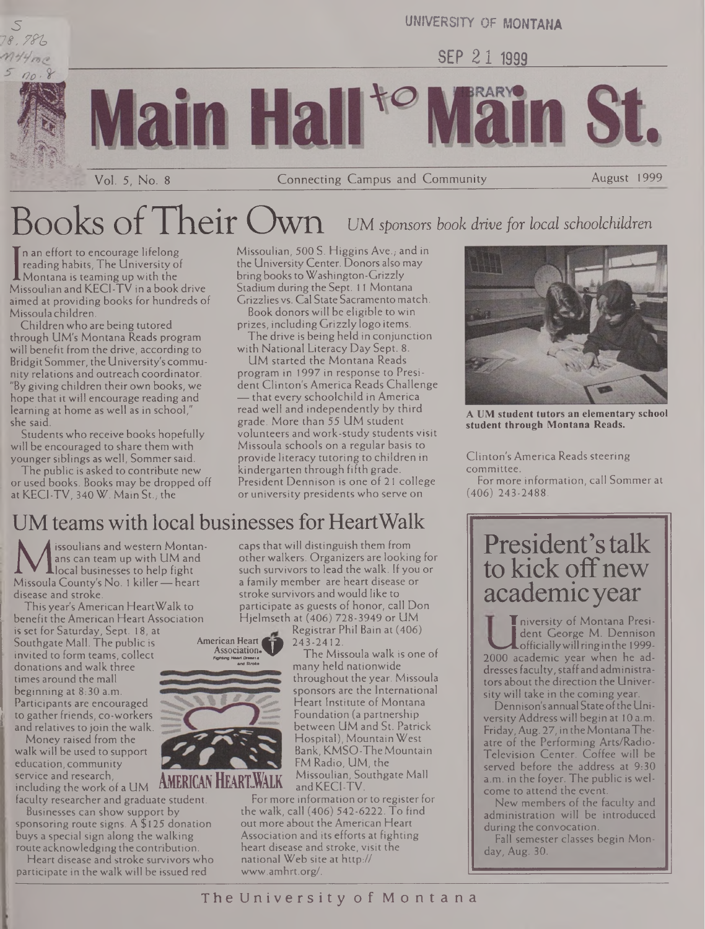

UNIVERSITY OF MONTANA

SEP 21 1999

Vol. 5, No. <sup>8</sup> Connecting Campus and Community August 1999

# Books ofTheir Own UM *sponsors book drive for local schoolchildren*

in Ha

I Montana is teaming up with the<br>Missoulian and KECI-TV in a book drive n an effort to encourage lifelong reading habits, The University of **A** Montana is teaming up with the aimed at providing books for hundreds of Missoula children.

Children who are being tutored through UM's Montana Reads program will benefit from the drive, according to Bridgit Sommer, the University's community relations and outreach coordinator. "By giving children their own books, we hope that it will encourage reading and learning at home as well as in school," she said.

Students who receive books hopefully will be encouraged to share them with younger siblings as well, Sommer said.

The public is asked to contribute new or used books. Books may be dropped off at KECI-TV, 340 W. Main St., the

Missoulian, 500 S. Higgins Ave., and in the University Center. Donors also may bring booksto Washington-Grizzly Stadium during the Sept. <sup>11</sup> Montana Grizzlies vs. Cal State Sacramento match. Book donors will be eligible to win

prizes, including Grizzly logo items. The drive is being held in conjunction

with National Literacy Day Sept. 8. UM started the Montana Reads program in 1997 in response to President Clinton's America Reads Challenge — that every schoolchild in America read well and independently by third grade. More than 55 UM student volunteers and work-study students visit Missoula schools on a regular basis to provide literacy tutoring to children in kindergarten through fifth grade. President Dennison is one of 21 college or university presidents who serve on



**A UM student tutors an elementary school student through Montana Reads.**

Clinton's America Reads steering committee.

For more information, call Sommer at (406) 243-2488.

### UM teams with local businesses for HeartWalk

Mans can team up with UM and<br>local businesses to help fight<br>Missoula County's No. 1 killer—heart<br>diesse and stroke issoulians and western Montanans can team up with UM and **L**local businesses to help fight disease and stroke.

This year's American HeartWalk to benefit the American Heart Association

is set for Saturday, Sept. 18, at Southgate Mall. The public is invited to form teams, collect donations and walk three times around the mall beginning at 8:30 a.m. Participants are encouraged to gather friends, co-workers and relatives to join the walk.

Money raised from the walk will be used to support education, community service and research, including the work of a  $UM$  **AMERICAN HEARLWALK** 

faculty researcher and graduate student.

Businesses can show support by sponsoring route signs. A \$ 125 donation buys a special sign along the walking route acknowledging the contribution.

Heart disease and stroke survivors who participate in the walk will be issued red

caps thatwill distinguish them from otherwalkers. Organizers are looking for such survivors to lead the walk. If you or a family member are heart disease or stroke survivors andwould like to participate as guests of honor, call Don Hjelmseth at (406) 728-3949 or UM

Registrar Phil Bain at (406) 243-2412.

The Missoula walk is one of many held nationwide throughout the year. Missoula sponsors are the International Heart Institute of Montana Foundation (a partnership between UM and St. Patrick Hospital), Mountain West Bank, KMSO-The Mountain FM Radio, UM, the Missoulian, Southgate Mall and KECI-TV.

#### For more information or to register for the walk, call (406) 542-6222. To find out more about the American Heart Association and its efforts at fighting heart disease and stroke, visit the national Web site at http:// [www.amhrt.org/](http://www.amhrt.org/).

## President'stalk to kick off new academic year

**T**niversity of Montana President George M. Dennison  $\blacktriangle$  officially will ring in the 1999-2000 academic year when he addresses faculty, staff and administrators about the direction the University will take in the coming year.

Dennison's annual Stateofthe University Address will begin at 10 a.m. Friday,Aug. 27, in theMontanaTheatre of the Performing Arts/Radio-Television Center. Coffee will be served before the address at 9:30 a.m. in the foyer. The public is welcome to attend the event.

New members of the faculty and. administration will be introduced during the convocation.

Fall semester classes begin Monday, Aug. 30.



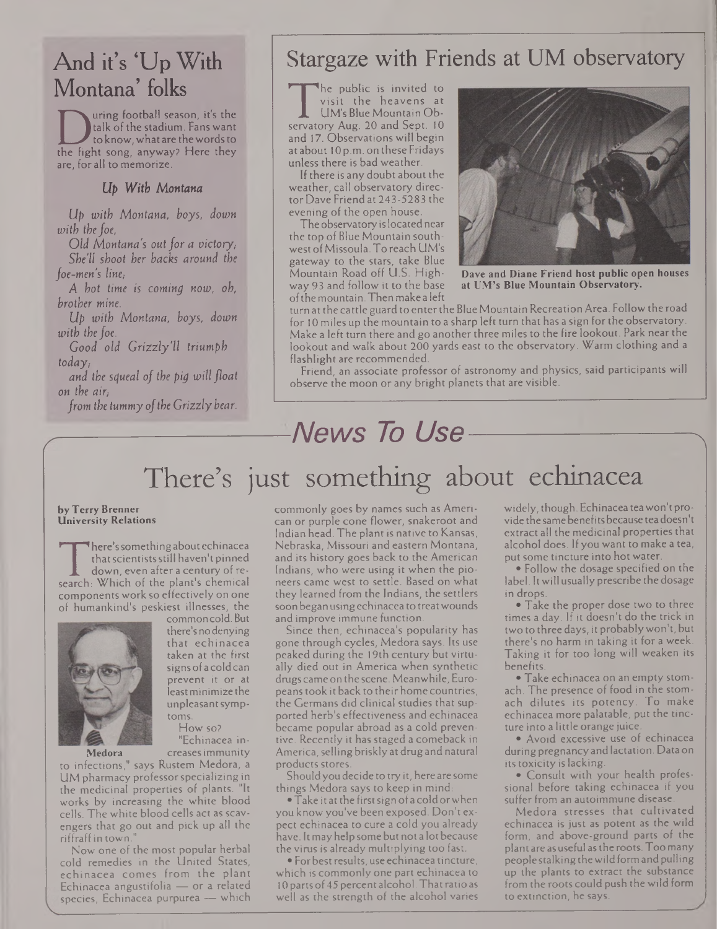## And it's 'Up With Montana' folks

I talk of the stadium. Fans want<br>to know, what are the words to<br>the fight song, anyway? Here they<br>are, for all to memorize. uring football season, it's the talk of the stadium. Fans want to know, what are thewordsto are, for all to memorize.

### *Up With Montana*

*Up with Montana, boys, down with the foe,*

*Old Montana's out for a victory,- She'll shoot her backs around the foe-men's line,-*

*A hot time is coming now, oh, brother mine.*

*Up with Montana, boys, down with the foe.*

*Good old Grizzly'll triumph today/*

*and the squeal of the pig will float on the air,*

*from the tummy ofthe Grizzly bear.*

### Stargaze with Friends at UM observatory

 $\frac{1}{\text{servate}}$ The public is invited to visit the heavens at UM's Blue Mountain Ob- $\,$  ory Aug. 20 and Sept. 10  $\,$   $\,$   $\,$   $\,$   $\,$   $\,$ and 17. Observationswill begin at about 10 p.m. on these Fridays unless there is bad weather.

If there is any doubt about the weather, call observatory director Dave Friend at 243-5283 the evening of the open house.

The observatory islocated near the top of Blue Mountain southwest ofMissoula. To reach UM's gateway to the stars, take Blue Mountain Road off U.S. Highway 93 and follow it to the base ofthemountain.Then make a left



**Dave and Diane Friend host public open houses at UM's Blue Mountain Observatory.**

turn at the cattle guard to enterthe Blue Mountain Recreation Area. Follow the road for 10 miles up the mountain to a sharp left turn that has a sign for the observatory. Make a left turn there and go another three miles to the fire lookout. Park near the lookout and walk about 200 yards east to the observatory. Warm clothing and a flashlight are recommended.

Friend, an associate professor of astronomy and physics, said participants will observe the moon or any bright planets that are visible.

## **News** To Use

## There's just something about echinacea

#### by Terry Brenner University Relations

'<br>search:<br>compo here'ssomethingabout echinacea thatscientistsstill haven't pinned down, even after a century of re- $\mathbb{S}$  Which of the plant's chemical and components work so effectively on one of humankind's peskiest illnesses, the commoncold. But



there'snodenying that echinacea taken at the first signsofacoldcan prevent it or at jeastminimize the unpleasantsymptoms. How so?

"Echinacea increasesimmunity

to infections," says Rustem Medora, a UM pharmacy professorspecializing in the medicinal properties of plants. "It works by increasing the white blood cells. The white blood cells act as scavengers that go out and pick up all the riffraffin town."

Now one of the most popular herbal cold remedies in the United States, echinacea comes from the plant Echinacea angustifolia — or a related species. Echinacea purpurea — which commonly goes by names such as American or purple cone flower, snakeroot and Indian head. The plant is native to Kansas, Nebraska, Missouri and eastern Montana, and its history goes back to the American Indians, who were using it when the pioneers came west to settle. Based on what they learned from the Indians, the settlers soon began using echinacea to treat wounds and improve immune function.

Since then, echinacea's popularity has gone through cycles, Medora says. Its use peaked during the 19th century but virtually died out in America when synthetic drugs came on the scene. Meanwhile, Europeans took it back to their home countries, the Germans did clinical studies that supported herb's effectiveness and echinacea became popular abroad as a cold preventive. Recently it has staged a comeback in America, selling briskly at drug and natural products stores.

Shouldyou decide to try it, here are some things Medora says to keep in mind:

• Take it at the first sign of a cold or when you know you've been exposed. Don't expect echinacea to cure a cold you already have. Itmayhelp somebut not a lotbecause the virus is already multiplying too fast.

• Forbestresults, use echinacea tincture, which is commonly one part echinacea to 10 parts of 45 percent alcohol. That ratio as well as the strength of the alcohol varies widely, though. Echinacea tea won't provide the same benefits because tea doesn't extract all the medicinal properties that alcohol does. If you want to make a tea, put some tincture into hot water.

• Follow the dosage specified on the label. Itwill usually prescribe the dosage in drops.

• Take the proper dose two to three times a day. If it doesn't do the trick in two to three days, it probablywon't, but there's no harm in taking it for a week. Taking it for too long will weaken its benefits.

• Take echinacea on an empty stomach. The presence of food in the stomach dilutes its potency. To make echinacea more palatable, put the tincture into a little orange juice.

• Avoid excessive use of echinacea during pregnancyand lactation. Data on its toxicity is lacking.

• Consult with your health professional before taking echinacea if you suffer from an autoimmune disease.

Medora stresses that cultivated echinacea is just as potent as the wild form, and above-ground parts of the plant are asuseful asthe roots.Toomany peoplestalking thewildformandpulling up the plants to extract the substance from the roots could push the wild form to extinction, he says.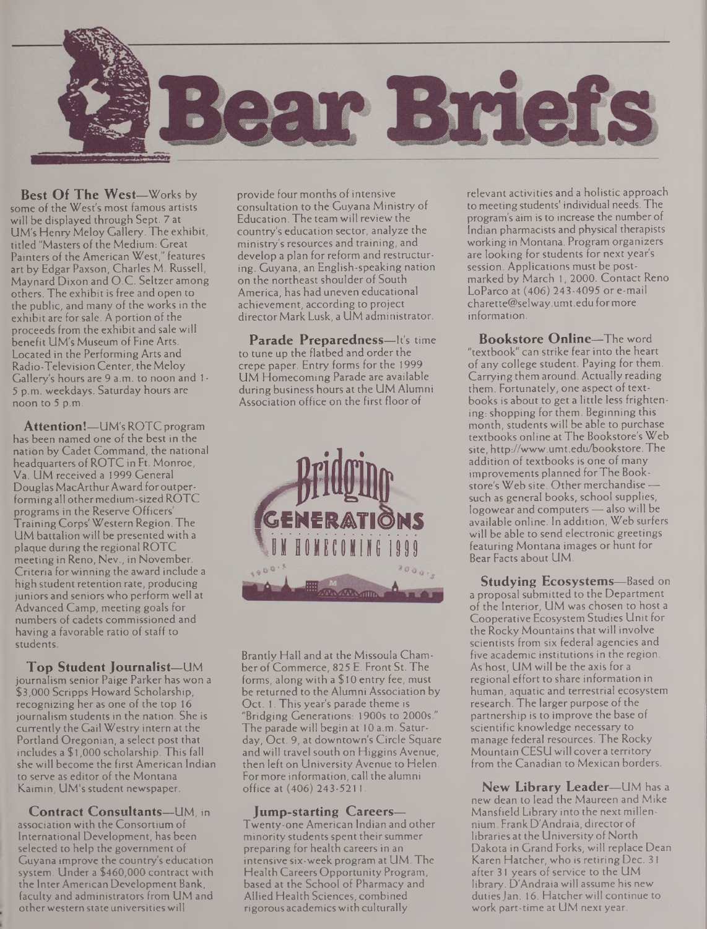

**Best Of The West—**Works by some of the West's most famous artists will be displayed through Sept. 7 at UM's Henry Meloy Gallery. The exhibit, titled "Masters of the Medium: Great Painters of the American West," features art by Edgar Paxson, Charles M. Russell, Maynard Dixon and O.C. Seltzer among others. The exhibit is free and open to the public, and many of the works in the exhibit are forsale. A portion of the proceeds from the exhibit and sale will benefit UM's Museum of Fine Arts. Located in the Performing Arts and Radio-Television Center, theMeloy Gallery's hours are 9 a.m. to noon and <sup>1</sup> - 5 p.m. weekdays. Saturday hours are noon to 5 p.m.

**Attention!—**UM's ROTCprogram has been named one of the best in the nation by Cadet Command, the national headquarters of ROTC in Ft. Monroe, Va. UM received a 1999 General Douglas MacArthur Award for outperforming all othermedium-sizedROTC programs in the Reserve Officers' TrainingCorps'Western Region. The UM battalion will be presented with a plaque during the regional ROTC meeting in Reno, Nev., in November. Criteria forwinning the award include a high student retention rate, producing juniors and seniors who perform well at Advanced Camp, meeting goals for numbers of cadets commissioned and having a favorable ratio of staff to students.

**Top Student Journalist—**UM journalism senior Paige Parker has won a \$3,000 Scripps Howard Scholarship, recognizing her as one of the top 16 journalism students in the nation. She is currently the Gail Westry intern at the Portland Oregonian, a select post that includes a \$1,000 scholarship. This fall she will become the first American Indian to serve as editor of the Montana Kaimin, UM's student newspaper.

**Contract Consultants—**UM, in association with the Consortium of International Development, has been selected to help the government of Guyana improve the country's education system. Under a \$460,000 contract with the Inter American Development Bank, faculty and administrators from UM and otherwestern state universitieswill

provide four months of intensive consultation to the Guyana Ministry of Education. The team will review the country's education sector, analyze the ministry's resources and training, and develop a plan for reform and restructuring. Guyana, an English-speaking nation on the northeast shoulder of South America, has had uneven educational achievement, according to project director Mark Lusk, a UM administrator.

**Parade Preparedness—**It's time to tune up the flatbed and order the crepe paper. Entry forms for the 1999 UM Homecoming Parade are available during business hours at the UM Alumni Association office on the first floor of



Brandy Hall and at the Missoula Chamber of Commerce, 825 E. Front St. The forms, along with a \$10 entry fee, must be returned to the Alumni Association by Oct. 1. This year's parade theme is "Bridging Generations: 1900s to 2000s." The parade will begin at 10 a.m. Saturday, Oct. 9, at downtown's Circle Square and will travel south on Higgins Avenue, then left on University Avenue to Helen. Formore information, call the alumni office at (406) 243-5211.

#### **Jump-starting Careers—** Twenty-one American Indian and other minority students spent their summer preparing for health careers in an intensive six-week program at UM. The Health Careers Opportunity Program, based at the School of Pharmacy and Allied Health Sciences, combined rigorous academicswith culturally

relevant activities and a holistic approach to meeting students' individual needs. The program's aim is to increase the number of Indian pharmacists and physical therapists working in Montana. Program organizers are looking for students for next year's session. Applications must be postmarked by March 1,2000. Contact Reno LoParco at (406) 243-4095 or e-mail [charette@selway.umt.edu](mailto:charette@selway.umt.edu) formore information.

**Bookstore Online—**The word "textbook" can strike fear into the heart of any college student. Paying for them. Carrying them around. Actually reading them. Fortunately, one aspect of textbooks is about to get a little less frightening: shopping for them. Beginning this month, students will be able to purchase textbooks online at The Bookstore's Web site, <http://www.umt.edu/bookstore>. The addition of textbooks is one of many improvements planned forThe Bookstore's Web site. Other merchandise such as general books, school supplies, logowear and computers — also will be available online. In addition, Web surfers will be able to send electronic greetings featuring Montana images or hunt for Bear Facts about UM.

**Studying Ecosystems—**Based on a proposal submitted to the Department of the Interior, UM was chosen to host a Cooperative Ecosystem Studies Unit for the Rocky Mountains that will involve scientists from six federal agencies and five academic institutions in the region. As host, UM will be the axis for a regional effort to share information in human, aquatic and terrestrial ecosystem research. The larger purpose of the partnership is to improve the base of scientific knowledge necessary to manage federal resources. The Rocky Mountain CESU will cover a territory from the Canadian to Mexican borders.

**New Library Leader—**UM has <sup>a</sup> new dean to lead the Maureen and Mike Mansfield Library into the next millennium. FrankD'Andraia, directorof libraries at the University of North Dakota in Grand Forks, will replace Dean Karen Hatcher, who is retiring Dec. 31 after 31 years of service to the UM library. D'Andraia will assume his new duties Jan. 16. Hatcher will continue to work part-time at UM next year.